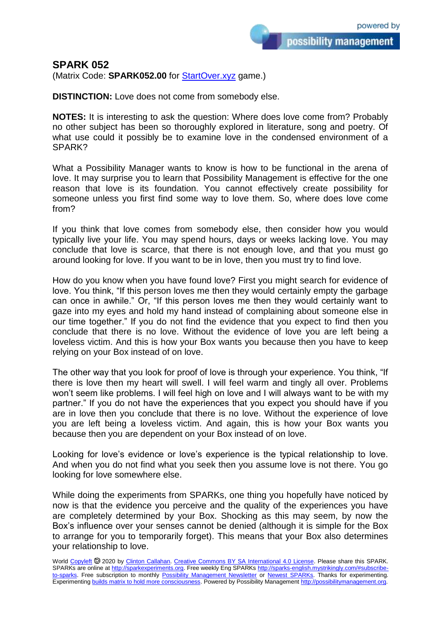## **SPARK 052**

(Matrix Code: **SPARK052.00** for **StartOver.xyz** game.)

**DISTINCTION:** Love does not come from somebody else.

**NOTES:** It is interesting to ask the question: Where does love come from? Probably no other subject has been so thoroughly explored in literature, song and poetry. Of what use could it possibly be to examine love in the condensed environment of a SPARK?

What a Possibility Manager wants to know is how to be functional in the arena of love. It may surprise you to learn that Possibility Management is effective for the one reason that love is its foundation. You cannot effectively create possibility for someone unless you first find some way to love them. So, where does love come from?

If you think that love comes from somebody else, then consider how you would typically live your life. You may spend hours, days or weeks lacking love. You may conclude that love is scarce, that there is not enough love, and that you must go around looking for love. If you want to be in love, then you must try to find love.

How do you know when you have found love? First you might search for evidence of love. You think, "If this person loves me then they would certainly empty the garbage can once in awhile." Or, "If this person loves me then they would certainly want to gaze into my eyes and hold my hand instead of complaining about someone else in our time together." If you do not find the evidence that you expect to find then you conclude that there is no love. Without the evidence of love you are left being a loveless victim. And this is how your Box wants you because then you have to keep relying on your Box instead of on love.

The other way that you look for proof of love is through your experience. You think, "If there is love then my heart will swell. I will feel warm and tingly all over. Problems won't seem like problems. I will feel high on love and I will always want to be with my partner." If you do not have the experiences that you expect you should have if you are in love then you conclude that there is no love. Without the experience of love you are left being a loveless victim. And again, this is how your Box wants you because then you are dependent on your Box instead of on love.

Looking for love's evidence or love's experience is the typical relationship to love. And when you do not find what you seek then you assume love is not there. You go looking for love somewhere else.

While doing the experiments from SPARKs, one thing you hopefully have noticed by now is that the evidence you perceive and the quality of the experiences you have are completely determined by your Box. Shocking as this may seem, by now the Box's influence over your senses cannot be denied (although it is simple for the Box to arrange for you to temporarily forget). This means that your Box also determines your relationship to love.

World [Copyleft](https://en.wikipedia.org/wiki/Copyleft) @ 2020 by [Clinton Callahan.](http://clintoncallahan.mystrikingly.com/) [Creative Commons BY SA International 4.0 License.](https://creativecommons.org/licenses/by-sa/4.0/) Please share this SPARK. SPARKs are online at [http://sparkexperiments.org.](http://sparks-english.mystrikingly.com/) Free weekly Eng SPARKs [http://sparks-english.mystrikingly.com/#subscribe](http://sparks-english.mystrikingly.com/#subscribe-to-sparks)[to-sparks.](http://sparks-english.mystrikingly.com/#subscribe-to-sparks) Free subscription to monthly [Possibility Management Newsletter](https://possibilitymanagement.org/news/) or [Newest SPARKs.](https://www.clintoncallahan.org/newsletter-1) Thanks for experimenting. Experimentin[g builds matrix to hold more consciousness.](http://spaceport.mystrikingly.com/) Powered by Possibility Managemen[t http://possibilitymanagement.org.](http://possibilitymanagement.org/)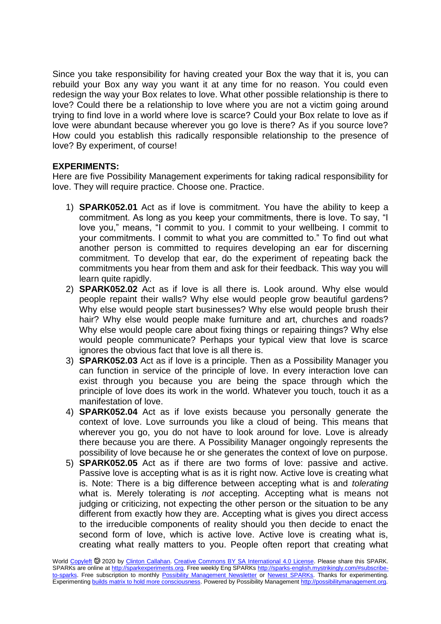Since you take responsibility for having created your Box the way that it is, you can rebuild your Box any way you want it at any time for no reason. You could even redesign the way your Box relates to love. What other possible relationship is there to love? Could there be a relationship to love where you are not a victim going around trying to find love in a world where love is scarce? Could your Box relate to love as if love were abundant because wherever you go love is there? As if you source love? How could you establish this radically responsible relationship to the presence of love? By experiment, of course!

## **EXPERIMENTS:**

Here are five Possibility Management experiments for taking radical responsibility for love. They will require practice. Choose one. Practice.

- 1) **SPARK052.01** Act as if love is commitment. You have the ability to keep a commitment. As long as you keep your commitments, there is love. To say, "I love you," means, "I commit to you. I commit to your wellbeing. I commit to your commitments. I commit to what you are committed to." To find out what another person is committed to requires developing an ear for discerning commitment. To develop that ear, do the experiment of repeating back the commitments you hear from them and ask for their feedback. This way you will learn quite rapidly.
- 2) **SPARK052.02** Act as if love is all there is. Look around. Why else would people repaint their walls? Why else would people grow beautiful gardens? Why else would people start businesses? Why else would people brush their hair? Why else would people make furniture and art, churches and roads? Why else would people care about fixing things or repairing things? Why else would people communicate? Perhaps your typical view that love is scarce ignores the obvious fact that love is all there is.
- 3) **SPARK052.03** Act as if love is a principle. Then as a Possibility Manager you can function in service of the principle of love. In every interaction love can exist through you because you are being the space through which the principle of love does its work in the world. Whatever you touch, touch it as a manifestation of love.
- 4) **SPARK052.04** Act as if love exists because you personally generate the context of love. Love surrounds you like a cloud of being. This means that wherever you go, you do not have to look around for love. Love is already there because you are there. A Possibility Manager ongoingly represents the possibility of love because he or she generates the context of love on purpose.
- 5) **SPARK052.05** Act as if there are two forms of love: passive and active. Passive love is accepting what is as it is right now. Active love is creating what is. Note: There is a big difference between accepting what is and *tolerating* what is. Merely tolerating is *not* accepting. Accepting what is means not judging or criticizing, not expecting the other person or the situation to be any different from exactly how they are. Accepting what is gives you direct access to the irreducible components of reality should you then decide to enact the second form of love, which is active love. Active love is creating what is, creating what really matters to you. People often report that creating what